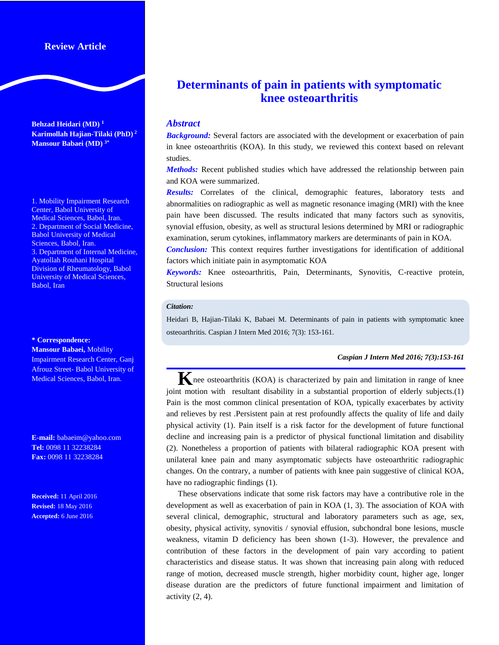# **Review Article**

**Behzad Heidari (MD) <sup>1</sup> Karimollah Hajian-Tilaki (PhD) <sup>2</sup> Mansour Babaei (MD) 3\***

1. Mobility Impairment Research Center, Babol University of Medical Sciences, Babol, Iran. 2. Department of Social Medicine, Babol University of Medical Sciences, Babol, Iran. 3. Department of Internal Medicine, Ayatollah Rouhani Hospital Division of Rheumatology, Babol University of Medical Sciences, Babol, Iran

#### **\* Correspondence:**

**Mansour Babaei,** Mobility Impairment Research Center, Ganj Afrouz Street- Babol University of Medical Sciences, Babol, Iran.

**E-mail:** babaeim@yahoo.com **Tel:** 0098 11 32238284 **Fax:** 0098 11 32238284

**Received:** 11 April 2016 **Revised:** 18 May 2016 **Accepted:** 6 June 2016

# **Determinants of pain in patients with symptomatic knee osteoarthritis**

### *Abstract*

*Background:* Several factors are associated with the development or exacerbation of pain in knee osteoarthritis (KOA). In this study, we reviewed this context based on relevant studies.

*Methods:* Recent published studies which have addressed the relationship between pain and KOA were summarized.

*Results:* Correlates of the clinical, demographic features, laboratory tests and abnormalities on radiographic as well as magnetic resonance imaging (MRI) with the knee pain have been discussed. The results indicated that many factors such as synovitis, synovial effusion, obesity, as well as structural lesions determined by MRI or radiographic examination, serum cytokines, inflammatory markers are determinants of pain in KOA.

*Conclusion:* This context requires further investigations for identification of additional factors which initiate pain in asymptomatic KOA

*Keywords:* Knee osteoarthritis, Pain, Determinants, Synovitis, C-reactive protein, Structural lesions

#### *Citation:*

Heidari B, Hajian-Tilaki K, Babaei M. Determinants of pain in patients with symptomatic knee osteoarthritis. Caspian J Intern Med 2016; 7(3): 153-161.

### *Caspian J Intern Med 2016; 7(3):153-161*

**K**nee osteoarthritis (KOA) is characterized by pain and limitation in range of knee joint motion with resultant disability in a substantial proportion of elderly subjects.(1) Pain is the most common clinical presentation of KOA, typically exacerbates by activity and relieves by rest .Persistent pain at rest profoundly affects the quality of life and daily physical activity (1). Pain itself is a risk factor for the development of future functional decline and increasing pain is a predictor of physical functional limitation and disability (2). Nonetheless a proportion of patients with bilateral radiographic KOA present with unilateral knee pain and many asymptomatic subjects have osteoarthritic radiographic changes. On the contrary, a number of patients with knee pain suggestive of clinical KOA, have no radiographic findings (1).

These observations indicate that some risk factors may have a contributive role in the development as well as exacerbation of pain in KOA (1, 3). The association of KOA with several clinical, demographic, structural and laboratory parameters such as age, sex, obesity, physical activity, synovitis / synovial effusion, subchondral bone lesions, muscle weakness, vitamin D deficiency has been shown (1-3). However, the prevalence and contribution of these factors in the development of pain vary according to patient characteristics and disease status. It was shown that increasing pain along with reduced range of motion, decreased muscle strength, higher morbidity count, higher age, longer disease duration are the predictors of future functional impairment and limitation of activity  $(2, 4)$ .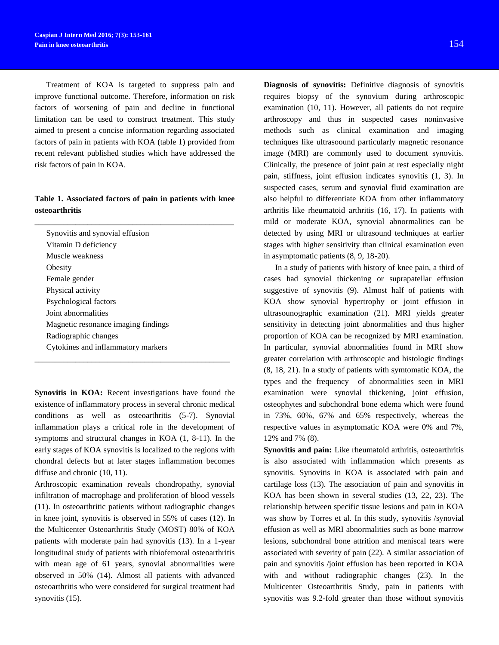Treatment of KOA is targeted to suppress pain and improve functional outcome. Therefore, information on risk factors of worsening of pain and decline in functional limitation can be used to construct treatment. This study aimed to present a concise information regarding associated factors of pain in patients with KOA (table 1) provided from recent relevant published studies which have addressed the risk factors of pain in KOA.

## **Table 1. Associated factors of pain in patients with knee osteoarthritis**

\_\_\_\_\_\_\_\_\_\_\_\_\_\_\_\_\_\_\_\_\_\_\_\_\_\_\_\_\_\_\_\_\_\_\_\_\_\_\_\_\_\_\_\_\_\_\_\_\_

Synovitis and synovial effusion Vitamin D deficiency Muscle weakness **Obesity** Female gender Physical activity Psychological factors Joint abnormalities Magnetic resonance imaging findings Radiographic changes Cytokines and inflammatory markers

**Synovitis in KOA:** Recent investigations have found the existence of inflammatory process in several chronic medical conditions as well as osteoarthritis (5-7). Synovial inflammation plays a critical role in the development of symptoms and structural changes in KOA (1, 8-11). In the early stages of KOA synovitis is localized to the regions with chondral defects but at later stages inflammation becomes diffuse and chronic (10, 11).

\_\_\_\_\_\_\_\_\_\_\_\_\_\_\_\_\_\_\_\_\_\_\_\_\_\_\_\_\_\_\_\_\_\_\_\_\_\_\_\_\_\_\_\_\_\_\_\_

Arthroscopic examination reveals chondropathy, synovial infiltration of macrophage and proliferation of blood vessels (11). In osteoarthritic patients without radiographic changes in knee joint, synovitis is observed in 55% of cases (12). In the Multicenter Osteoarthritis Study (MOST) 80% of KOA patients with moderate pain had synovitis (13). In a 1-year longitudinal study of patients with tibiofemoral osteoarthritis with mean age of 61 years, synovial abnormalities were observed in 50% (14). Almost all patients with advanced osteoarthritis who were considered for surgical treatment had synovitis  $(15)$ .

**Diagnosis of synovitis:** Definitive diagnosis of synovitis requires biopsy of the synovium during arthroscopic examination (10, 11). However, all patients do not require arthroscopy and thus in suspected cases noninvasive methods such as clinical examination and imaging techniques like ultrasoound particularly magnetic resonance image (MRI) are commonly used to document synovitis. Clinically, the presence of joint pain at rest especially night pain, stiffness, joint effusion indicates synovitis (1, 3). In suspected cases, serum and synovial fluid examination are also helpful to differentiate KOA from other inflammatory arthritis like rheumatoid arthritis (16, 17). In patients with mild or moderate KOA, synovial abnormalities can be detected by using MRI or ultrasound techniques at earlier stages with higher sensitivity than clinical examination even in asymptomatic patients (8, 9, 18-20).

In a study of patients with history of knee pain, a third of cases had synovial thickening or suprapatellar effusion suggestive of synovitis (9). Almost half of patients with KOA show synovial hypertrophy or joint effusion in ultrasounographic examination (21). MRI yields greater sensitivity in detecting joint abnormalities and thus higher proportion of KOA can be recognized by MRI examination. In particular, synovial abnormalities found in MRI show greater correlation with arthroscopic and histologic findings (8, 18, 21). In a study of patients with symtomatic KOA, the types and the frequency of abnormalities seen in MRI examination were synovial thickening, joint effusion, osteophytes and subchondral bone edema which were found in 73%, 60%, 67% and 65% respectively, whereas the respective values in asymptomatic KOA were 0% and 7%, 12% and 7% (8).

**Synovitis and pain:** Like rheumatoid arthritis, osteoarthritis is also associated with inflammation which presents as synovitis. Synovitis in KOA is associated with pain and cartilage loss (13). The association of pain and synovitis in KOA has been shown in several studies (13, 22, 23). The relationship between specific tissue lesions and pain in KOA was show by Torres et al. In this study, synovitis /synovial effusion as well as MRI abnormalities such as bone marrow lesions, subchondral bone attrition and meniscal tears were associated with severity of pain (22). A similar association of pain and synovitis /joint effusion has been reported in KOA with and without radiographic changes (23). In the Multicenter Osteoarthritis Study, pain in patients with synovitis was 9.2-fold greater than those without synovitis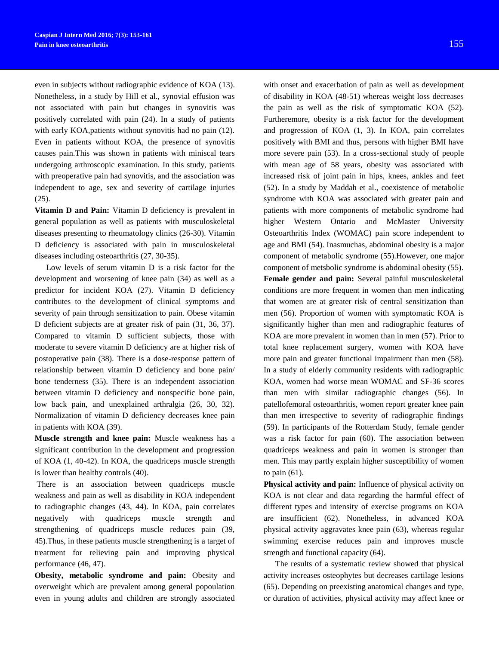even in subjects without radiographic evidence of KOA (13). Nonetheless, in a study by Hill et al., synovial effusion was not associated with pain but changes in synovitis was positively correlated with pain (24). In a study of patients with early KOA,patients without synovitis had no pain (12). Even in patients without KOA, the presence of synovitis causes pain.This was shown in patients with miniscal tears undergoing arthroscopic examination. In this study, patients with preoperative pain had synovitis, and the association was independent to age, sex and severity of cartilage injuries (25).

**Vitamin D and Pain:** Vitamin D deficiency is prevalent in general population as well as patients with musculoskeletal diseases presenting to rheumatology clinics (26-30). Vitamin D deficiency is associated with pain in musculoskeletal diseases including osteoarthritis (27, 30-35).

Low levels of serum vitamin D is a risk factor for the development and worsening of knee pain (34) as well as a predictor for incident KOA (27). Vitamin D deficiency contributes to the development of clinical symptoms and severity of pain through sensitization to pain. Obese vitamin D deficient subjects are at greater risk of pain (31, 36, 37). Compared to vitamin D sufficient subjects, those with moderate to severe vitamin D deficiency are at higher risk of postoperative pain (38). There is a dose-response pattern of relationship between vitamin D deficiency and bone pain/ bone tenderness (35). There is an independent association between vitamin D deficiency and nonspecific bone pain, low back pain, and unexplained arthralgia (26, 30, 32). Normalization of vitamin D deficiency decreases knee pain in patients with KOA (39).

**Muscle strength and knee pain:** Muscle weakness has a significant contribution in the development and progression of KOA (1, 40-42). In KOA, the quadriceps muscle strength is lower than healthy controls (40).

There is an association between quadriceps muscle weakness and pain as well as disability in KOA independent to radiographic changes (43, 44). In KOA, pain correlates negatively with quadriceps muscle strength and strengthening of quadriceps muscle reduces pain (39, 45).Thus, in these patients muscle strengthening is a target of treatment for relieving pain and improving physical performance (46, 47).

**Obesity, metabolic syndrome and pain:** Obesity and overweight which are prevalent among general popoulation even in young adults and children are strongly associated

with onset and exacerbation of pain as well as development of disability in KOA (48-51) whereas weight loss decreases the pain as well as the risk of symptomatic KOA (52). Furtheremore, obesity is a risk factor for the development and progression of KOA (1, 3). In KOA, pain correlates positively with BMI and thus, persons with higher BMI have more severe pain (53). In a cross-sectional study of people with mean age of 58 years, obesity was associated with increased risk of joint pain in hips, knees, ankles and feet (52). In a study by Maddah et al., coexistence of metabolic syndrome with KOA was associated with greater pain and patients with more components of metabolic syndrome had higher Western Ontario and McMaster University Osteoarthritis Index (WOMAC) pain score independent to age and BMI (54). Inasmuchas, abdominal obesity is a major component of metabolic syndrome (55).However, one major component of metsbolic syndrome is abdominal obesity (55). **Female gender and pain:** Several painful musculoskeletal conditions are more frequent in women than men indicating that women are at greater risk of central sensitization than men (56). Proportion of women with symptomatic KOA is significantly higher than men and radiographic features of KOA are more prevalent in women than in men (57). Prior to total knee replacement surgery, women with KOA have more pain and greater functional impairment than men (58). In a study of elderly community residents with radiographic KOA, women had worse mean WOMAC and SF-36 scores than men with similar radiographic changes (56). In patellofemoral osteoarthritis, women report greater knee pain than men irrespective to severity of radiographic findings (59). In participants of the Rotterdam Study, female gender was a risk factor for pain (60). The association between quadriceps weakness and pain in women is stronger than men. This may partly explain higher susceptibility of women to pain (61).

**Physical activity and pain:** Influence of physical activity on KOA is not clear and data regarding the harmful effect of different types and intensity of exercise programs on KOA are insufficient (62). Nonetheless, in advanced KOA physical activity aggravates knee pain (63), whereas regular swimming exercise reduces pain and improves muscle strength and functional capacity (64).

The results of a systematic review showed that physical activity increases osteophytes but decreases cartilage lesions (65). Depending on preexisting anatomical changes and type, or duration of activities, physical activity may affect knee or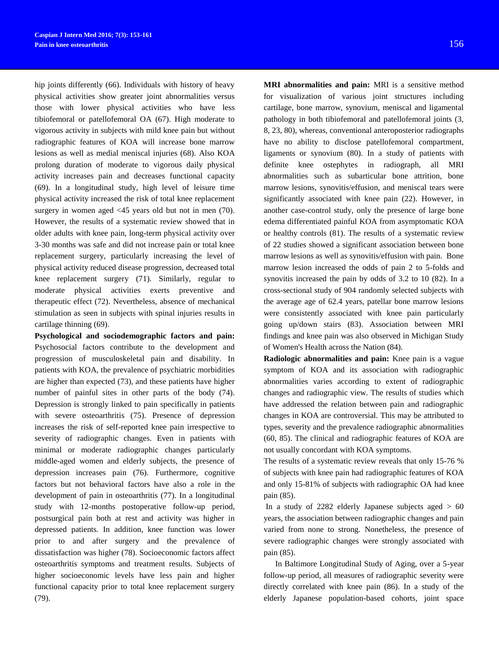hip joints differently (66). Individuals with history of heavy physical activities show greater joint abnormalities versus those with lower physical activities who have less tibiofemoral or patellofemoral OA (67). High moderate to vigorous activity in subjects with mild knee pain but without radiographic features of KOA will increase bone marrow lesions as well as medial meniscal injuries (68). Also KOA prolong duration of moderate to vigorous daily physical activity increases pain and decreases functional capacity (69). In a longitudinal study, high level of leisure time physical activity increased the risk of total knee replacement surgery in women aged <45 years old but not in men (70). However, the results of a systematic review showed that in older adults with knee pain, long-term physical activity over 3-30 months was safe and did not increase pain or total knee replacement surgery, particularly increasing the level of physical activity reduced disease progression, decreased total knee replacement surgery (71). Similarly, regular to moderate physical activities exerts preventive and therapeutic effect (72). Nevertheless, absence of mechanical stimulation as seen in subjects with spinal injuries results in cartilage thinning (69).

**Psychological and sociodemographic factors and pain:**  Psychosocial factors contribute to the development and progression of musculoskeletal pain and disability. In patients with KOA, the prevalence of psychiatric morbidities are higher than expected (73), and these patients have higher number of painful sites in other parts of the body (74). Depression is strongly linked to pain specifically in patients with severe osteoarthritis (75). Presence of depression increases the risk of self-reported knee pain irrespective to severity of radiographic changes. Even in patients with minimal or moderate radiographic changes particularly middle-aged women and elderly subjects, the presence of depression increases pain (76). Furthermore, cognitive factors but not behavioral factors have also a role in the development of pain in osteoarthritis (77). In a longitudinal study with 12-months postoperative follow-up period, postsurgical pain both at rest and activity was higher in depressed patients. In addition, knee function was lower prior to and after surgery and the prevalence of dissatisfaction was higher (78). Socioeconomic factors affect osteoarthritis symptoms and treatment results. Subjects of higher socioeconomic levels have less pain and higher functional capacity prior to total knee replacement surgery (79).

**MRI abnormalities and pain:** MRI is a sensitive method for visualization of various joint structures including cartilage, bone marrow, synovium, meniscal and ligamental pathology in both tibiofemoral and patellofemoral joints (3, 8, 23, 80), whereas, conventional anteroposterior radiographs have no ability to disclose patellofemoral compartment, ligaments or synovium (80). In a study of patients with definite knee ostephytes in radiograph, all MRI abnormalities such as subarticular bone attrition, bone marrow lesions, synovitis/effusion, and meniscal tears were significantly associated with knee pain (22). However, in another case-control study, only the presence of large bone edema differentiated painful KOA from asymptomatic KOA or healthy controls (81). The results of a systematic review of 22 studies showed a significant association between bone marrow lesions as well as synovitis/effusion with pain. Bone marrow lesion increased the odds of pain 2 to 5-folds and synovitis increased the pain by odds of 3.2 to 10 (82). In a cross-sectional study of 904 randomly selected subjects with the average age of 62.4 years, patellar bone marrow lesions were consistently associated with knee pain particularly going up/down stairs (83). Association between MRI findings and knee pain was also observed in Michigan Study of Women's Health across the Nation (84).

**Radiologic abnormalities and pain:** Knee pain is a vague symptom of KOA and its association with radiographic abnormalities varies according to extent of radiographic changes and radiographic view. The results of studies which have addressed the relation between pain and radiographic changes in KOA are controversial. This may be attributed to types, severity and the prevalence radiographic abnormalities (60, 85). The clinical and radiographic features of KOA are not usually concordant with KOA symptoms.

The results of a systematic review reveals that only 15-76 % of subjects with knee pain had radiographic features of KOA and only 15-81% of subjects with radiographic OA had knee pain (85).

In a study of  $2282$  elderly Japanese subjects aged  $> 60$ years, the association between radiographic changes and pain varied from none to strong. Nonetheless, the presence of severe radiographic changes were strongly associated with pain (85).

In Baltimore Longitudinal Study of Aging, over a 5-year follow-up period, all measures of radiographic severity were directly correlated with knee pain (86). In a study of the elderly Japanese population-based cohorts, joint space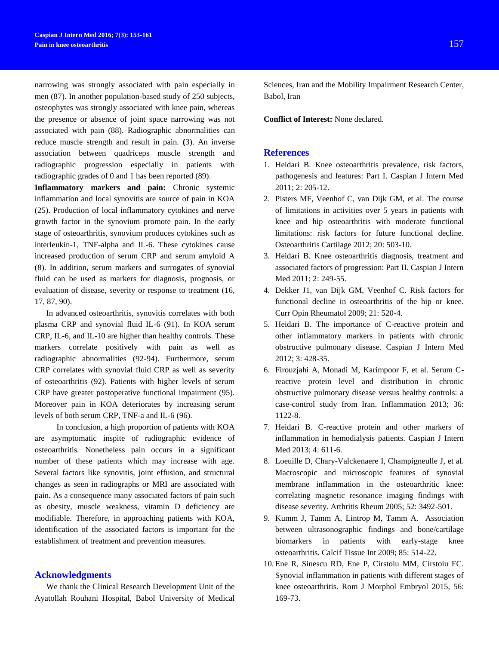narrowing was strongly associated with pain especially in men (87). In another population-based study of 250 subjects, osteophytes was strongly associated with knee pain, whereas the presence or absence of joint space narrowing was not associated with pain (88). Radiographic abnormalities can reduce muscle strength and result in pain. **(**3). An inverse association between quadriceps muscle strength and radiographic progression especially in patients with radiographic grades of 0 and 1 has been reported (89).

**Inflammatory markers and pain:** Chronic systemic inflammation and local synovitis are source of pain in KOA (25). Production of local inflammatory cytokines and nerve growth factor in the synovium promote pain. In the early stage of osteoarthritis, synovium produces cytokines such as interleukin-1, TNF-alpha and IL-6. These cytokines cause increased production of serum CRP and serum amyloid A (8). In addition, serum markers and surrogates of synovial fluid can be used as markers for diagnosis, prognosis, or evaluation of disease, severity or response to treatment (16, 17, 87, 90).

In advanced osteoarthritis, synovitis correlates with both plasma CRP and synovial fluid IL-6 (91). In KOA serum CRP, IL-6, and IL-10 are higher than healthy controls. These markers correlate positively with pain as well as radiographic abnormalities (92-94). Furthermore, serum CRP correlates with synovial fluid CRP as well as severity of osteoarthritis (92). Patients with higher levels of serum CRP have greater postoperative functional impairment (95). Moreover pain in KOA deteriorates by increasing serum levels of both serum CRP, TNF-a and IL-6 (96).

 In conclusion, a high proportion of patients with KOA are asymptomatic inspite of radiographic evidence of osteoarthritis. Nonetheless pain occurs in a significant number of these patients which may increase with age. Several factors like synovitis, joint effusion, and structural changes as seen in radiographs or MRI are associated with pain. As a consequence many associated factors of pain such as obesity, muscle weakness, vitamin D deficiency are modifiable. Therefore, in approaching patients with KOA, identification of the associated factors is important for the establishment of treatment and prevention measures.

### **Acknowledgments**

We thank the Clinical Research Development Unit of the Ayatollah Rouhani Hospital, Babol University of Medical Sciences, Iran and the Mobility Impairment Research Center, Babol, Iran

**Conflict of Interest:** None declared.

### **References**

- 1. Heidari B. Knee osteoarthritis prevalence, risk factors, pathogenesis and features: Part I. Caspian J Intern Med 2011; 2: 205-12.
- 2. Pisters MF, Veenhof C, van Dijk GM, et al. The course of limitations in activities over 5 years in patients with knee and hip osteoarthritis with moderate functional limitations: risk factors for future functional decline. Osteoarthritis Cartilage 2012; 20: 503-10.
- 3. Heidari B. Knee osteoarthritis diagnosis, treatment and associated factors of progression: Part II. Caspian J Intern Med 2011; 2: 249-55.
- 4. Dekker J1, van Dijk GM, Veenhof C. Risk factors for functional decline in osteoarthritis of the hip or knee. Curr Opin Rheumatol 2009; 21: 520-4.
- 5. Heidari B. The importance of C-reactive protein and other inflammatory markers in patients with chronic obstructive pulmonary disease. Caspian J Intern Med 2012; 3: 428-35.
- 6. Firouzjahi A, Monadi M, Karimpoor F, et al. Serum Creactive protein level and distribution in chronic obstructive pulmonary disease versus healthy controls: a case-control study from Iran. Inflammation 2013; 36: 1122-8.
- 7. Heidari B. C-reactive protein and other markers of inflammation in hemodialysis patients. Caspian J Intern Med 2013; 4: 611-6.
- 8. Loeuille D, Chary-Valckenaere I, Champigneulle J, et al. Macroscopic and microscopic features of synovial membrane inflammation in the osteoarthritic knee: correlating magnetic resonance imaging findings with disease severity. Arthritis Rheum 2005; 52: 3492-501.
- 9. Kumm J, Tamm A, Lintrop M, Tamm A. Association between ultrasonographic findings and bone/cartilage biomarkers in patients with early-stage knee osteoarthritis. Calcif Tissue Int 2009; 85: 514-22.
- 10. Ene R, Sinescu RD, Ene P, Cirstoiu MM, Cirstoiu FC. Synovial inflammation in patients with different stages of knee osteoarthritis. Rom J Morphol Embryol 2015, 56: 169-73.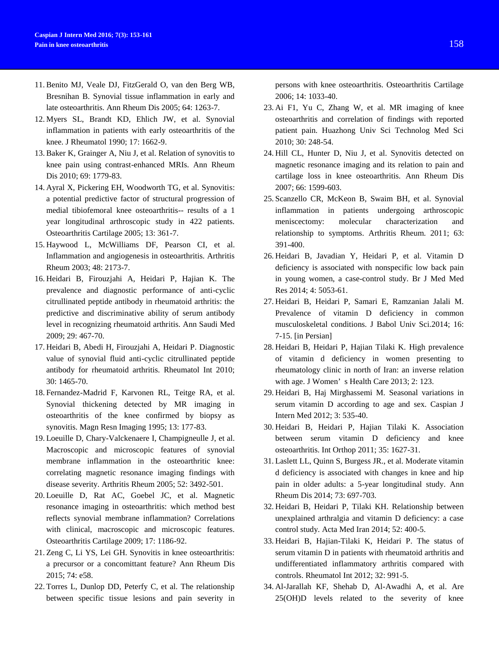- 11. Benito MJ, Veale DJ, FitzGerald O, van den Berg WB, Bresnihan B. Synovial tissue inflammation in early and late osteoarthritis. Ann Rheum Dis 2005; 64: 1263-7.
- 12. Myers SL, Brandt KD, Ehlich JW, et al. Synovial inflammation in patients with early osteoarthritis of the knee. J Rheumatol 1990; 17: 1662-9.
- 13. Baker K, Grainger A, Niu J, et al. Relation of synovitis to knee pain using contrast-enhanced MRIs. Ann Rheum Dis 2010; 69: 1779-83.
- 14. Ayral X, Pickering EH, Woodworth TG, et al. Synovitis: a potential predictive factor of structural progression of medial tibiofemoral knee osteoarthritis-- results of a 1 year longitudinal arthroscopic study in 422 patients. Osteoarthritis Cartilage 2005; 13: 361-7.
- 15. Haywood L, McWilliams DF, Pearson CI, et al. Inflammation and angiogenesis in osteoarthritis. Arthritis Rheum 2003; 48: 2173-7.
- 16. Heidari B, Firouzjahi A, Heidari P, Hajian K. The prevalence and diagnostic performance of anti-cyclic citrullinated peptide antibody in rheumatoid arthritis: the predictive and discriminative ability of serum antibody level in recognizing rheumatoid arthritis. Ann Saudi Med 2009; 29: 467-70.
- 17. Heidari B, Abedi H, Firouzjahi A, Heidari P. Diagnostic value of synovial fluid anti-cyclic citrullinated peptide antibody for rheumatoid arthritis. Rheumatol Int 2010; 30: 1465-70.
- 18. Fernandez-Madrid F, Karvonen RL, Teitge RA, et al. Synovial thickening detected by MR imaging in osteoarthritis of the knee confirmed by biopsy as synovitis. Magn Resn Imaging 1995; 13: 177-83.
- 19. Loeuille D, Chary-Valckenaere I, Champigneulle J, et al. Macroscopic and microscopic features of synovial membrane inflammation in the osteoarthritic knee: correlating magnetic resonance imaging findings with disease severity. Arthritis Rheum 2005; 52: 3492-501.
- 20. Loeuille D, Rat AC, Goebel JC, et al. Magnetic resonance imaging in osteoarthritis: which method best reflects synovial membrane inflammation? Correlations with clinical, macroscopic and microscopic features. Osteoarthritis Cartilage 2009; 17: 1186-92.
- 21. Zeng C, Li YS, Lei GH. Synovitis in knee osteoarthritis: a precursor or a concomittant feature? Ann Rheum Dis 2015; 74: e58.
- 22. Torres L, Dunlop DD, Peterfy C, et al. The relationship between specific tissue lesions and pain severity in

persons with knee osteoarthritis. Osteoarthritis Cartilage 2006; 14: 1033-40.

- 23. Ai F1, Yu C, Zhang W, et al. MR imaging of knee osteoarthritis and correlation of findings with reported patient pain. Huazhong Univ Sci Technolog Med Sci 2010; 30: 248-54.
- 24. Hill CL, Hunter D, Niu J, et al. Synovitis detected on magnetic resonance imaging and its relation to pain and cartilage loss in knee osteoarthritis. Ann Rheum Dis 2007; 66: 1599-603.
- 25. Scanzello CR, McKeon B, Swaim BH, et al. Synovial inflammation in patients undergoing arthroscopic meniscectomy: molecular characterization and relationship to symptoms. Arthritis Rheum. 2011; 63: 391-400.
- 26. Heidari B, Javadian Y, Heidari P, et al. Vitamin D deficiency is associated with nonspecific low back pain in young women, a case-control study. Br J Med Med Res 2014; 4: 5053-61.
- 27. Heidari B, Heidari P, Samari E, Ramzanian Jalali M. Prevalence of vitamin D deficiency in common musculoskeletal conditions. J Babol Univ Sci.2014; 16: 7-15. [in Persian]
- 28. Heidari B, Heidari P, Hajian Tilaki K. High prevalence of vitamin d deficiency in women presenting to rheumatology clinic in north of Iran: an inverse relation with age. J Women' s Health Care 2013; 2: 123.
- 29. Heidari B, Haj Mirghassemi M. Seasonal variations in serum vitamin D according to age and sex. Caspian J Intern Med 2012; 3: 535-40.
- 30. Heidari B, Heidari P, Hajian Tilaki K. Association between serum vitamin D deficiency and knee osteoarthritis. Int Orthop 2011; 35: 1627-31.
- 31. Laslett LL, Quinn S, Burgess JR., et al. Moderate vitamin d deficiency is associated with changes in knee and hip pain in older adults: a 5-year longitudinal study. Ann Rheum Dis 2014; 73: 697-703.
- 32. Heidari B, Heidari P, Tilaki KH. Relationship between unexplained arthralgia and vitamin D deficiency: a case control study. Acta Med Iran 2014; 52: 400-5.
- 33. Heidari B, Hajian-Tilaki K, Heidari P. The status of serum vitamin D in patients with rheumatoid arthritis and undifferentiated inflammatory arthritis compared with controls. Rheumatol Int 2012; 32: 991-5.
- 34. Al-Jarallah KF, Shehab D, Al-Awadhi A, et al. Are 25(OH)D levels related to the severity of knee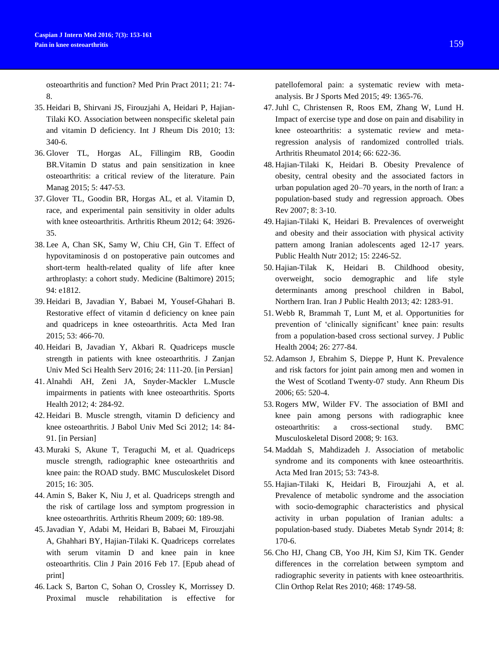osteoarthritis and function? Med Prin Pract 2011; 21: 74- 8.

- 35. Heidari B, Shirvani JS, Firouzjahi A, Heidari P, Hajian-Tilaki KO. Association between nonspecific skeletal pain and vitamin D deficiency. Int J Rheum Dis 2010; 13: 340-6.
- 36. Glover TL, Horgas AL, Fillingim RB, Goodin BR.Vitamin D status and pain sensitization in knee osteoarthritis: a critical review of the literature. Pain Manag 2015; 5: 447-53.
- 37. Glover TL, Goodin BR, Horgas AL, et al. Vitamin D, race, and experimental pain sensitivity in older adults with knee osteoarthritis. Arthritis Rheum 2012; 64: 3926- 35.
- 38. Lee A, Chan SK, Samy W, Chiu CH, Gin T. Effect of hypovitaminosis d on postoperative pain outcomes and short-term health-related quality of life after knee arthroplasty: a cohort study. Medicine (Baltimore) 2015; 94: e1812.
- 39. Heidari B, Javadian Y, Babaei M, Yousef-Ghahari B. Restorative effect of vitamin d deficiency on knee pain and quadriceps in knee osteoarthritis. Acta Med Iran 2015; 53: 466-70.
- 40. Heidari B, Javadian Y, Akbari R. Quadriceps muscle strength in patients with knee osteoarthritis. J Zanjan Univ Med Sci Health Serv 2016; 24: 111-20. [in Persian]
- 41. Alnahdi AH, Zeni JA, Snyder-Mackler L.Muscle impairments in patients with knee osteoarthritis. Sports Health 2012; 4: 284-92.
- 42. Heidari B. Muscle strength, vitamin D deficiency and knee osteoarthritis. J Babol Univ Med Sci 2012; 14: 84- 91. [in Persian]
- 43. Muraki S, Akune T, Teraguchi M, et al. Quadriceps muscle strength, radiographic knee osteoarthritis and knee pain: the ROAD study. BMC Musculoskelet Disord 2015; 16: 305.
- 44. Amin S, Baker K, Niu J, et al. Quadriceps strength and the risk of cartilage loss and symptom progression in knee osteoarthritis. Arthritis Rheum 2009; 60: 189-98.
- 45.Javadian Y, Adabi M, Heidari B, Babaei M, Firouzjahi A, Ghahhari BY, Hajian-Tilaki K. Quadriceps correlates with serum vitamin D and knee pain in knee osteoarthritis. Clin J Pain 2016 Feb 17. [Epub ahead of print]
- 46. Lack S, Barton C, Sohan O, Crossley K, Morrissey D. Proximal muscle rehabilitation is effective for

patellofemoral pain: a systematic review with metaanalysis. Br J Sports Med 2015; 49: 1365-76.

- 47.Juhl C, Christensen R, Roos EM, Zhang W, Lund H. Impact of exercise type and dose on pain and disability in knee osteoarthritis: a systematic review and metaregression analysis of randomized controlled trials. Arthritis Rheumatol 2014; 66: 622-36.
- 48. Hajian‐Tilaki K, Heidari B. Obesity Prevalence of obesity, central obesity and the associated factors in urban population aged 20–70 years, in the north of Iran: a population‐based study and regression approach. Obes Rev 2007; 8: 3-10.
- 49. Hajian-Tilaki K, Heidari B. Prevalences of overweight and obesity and their association with physical activity pattern among Iranian adolescents aged 12-17 years. Public Health Nutr 2012; 15: 2246-52.
- 50. Hajian-Tilak K, Heidari B. Childhood obesity, overweight, socio demographic and life style determinants among preschool children in Babol, Northern Iran. Iran J Public Health 2013; 42: 1283-91.
- 51. Webb R, Brammah T, Lunt M, et al. Opportunities for prevention of 'clinically significant' knee pain: results from a population-based cross sectional survey. J Public Health 2004; 26: 277-84.
- 52. Adamson J, Ebrahim S, Dieppe P, Hunt K. Prevalence and risk factors for joint pain among men and women in the West of Scotland Twenty-07 study. Ann Rheum Dis 2006; 65: 520-4.
- 53. Rogers MW, Wilder FV. The association of BMI and knee pain among persons with radiographic knee osteoarthritis: a cross-sectional study. BMC Musculoskeletal Disord 2008; 9: 163.
- 54. Maddah S, Mahdizadeh J. Association of metabolic syndrome and its components with knee osteoarthritis. Acta Med Iran 2015; 53: 743-8.
- 55. Hajian-Tilaki K, Heidari B, Firouzjahi A, et al. Prevalence of metabolic syndrome and the association with socio-demographic characteristics and physical activity in urban population of Iranian adults: a population-based study. Diabetes Metab Syndr 2014; 8: 170-6.
- 56. Cho HJ, Chang CB, Yoo JH, Kim SJ, Kim TK. Gender differences in the correlation between symptom and radiographic severity in patients with knee osteoarthritis. Clin Orthop Relat Res 2010; 468: 1749-58.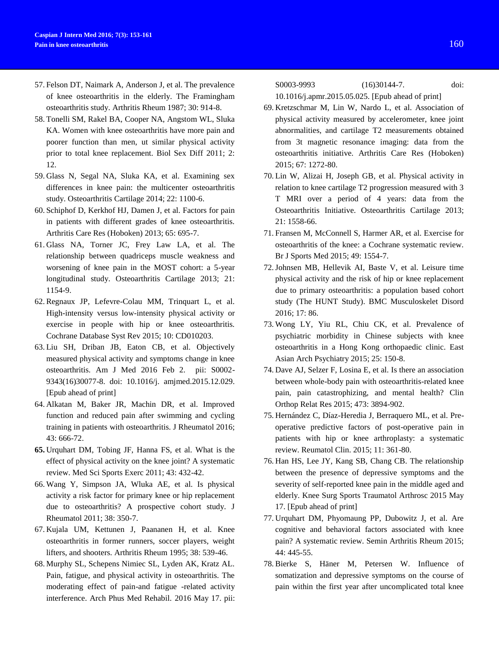- 57. Felson DT, Naimark A, Anderson J, et al. The prevalence of knee osteoarthritis in the elderly. The Framingham osteoarthritis study. Arthritis Rheum 1987; 30: 914-8.
- 58. Tonelli SM, Rakel BA, Cooper NA, Angstom WL, Sluka KA. Women with knee osteoarthritis have more pain and poorer function than men, ut similar physical activity prior to total knee replacement. Biol Sex Diff 2011; 2: 12.
- 59. Glass N, Segal NA, Sluka KA, et al. Examining sex differences in knee pain: the multicenter osteoarthritis study. Osteoarthritis Cartilage 2014; 22: 1100-6.
- 60. Schiphof D, Kerkhof HJ, Damen J, et al. Factors for pain in patients with different grades of knee osteoarthritis. Arthritis Care Res (Hoboken) 2013; 65: 695-7.
- 61. Glass NA, Torner JC, Frey Law LA, et al. The relationship between quadriceps muscle weakness and worsening of knee pain in the MOST cohort: a 5-year longitudinal study. Osteoarthritis Cartilage 2013; 21: 1154-9.
- 62. Regnaux JP, Lefevre-Colau MM, Trinquart L, et al. High-intensity versus low-intensity physical activity or exercise in people with hip or knee osteoarthritis. Cochrane Database Syst Rev 2015; 10: CD010203.
- 63. Liu SH, Driban JB, Eaton CB, et al. Objectively measured physical activity and symptoms change in knee osteoarthritis. Am J Med 2016 Feb 2. pii: S0002- 9343(16)30077-8. doi: 10.1016/j. amjmed.2015.12.029. [Epub ahead of print]
- 64. Alkatan M, Baker JR, Machin DR, et al. Improved function and reduced pain after swimming and cycling training in patients with osteoarthritis. J Rheumatol 2016; 43: 666-72.
- **65.** Urquhart DM, Tobing JF, Hanna FS, et al. What is the effect of physical activity on the knee joint? A systematic review. Med Sci Sports Exerc 2011; 43: 432-42.
- 66. Wang Y, Simpson JA, Wluka AE, et al. Is physical activity a risk factor for primary knee or hip replacement due to osteoarthritis? A prospective cohort study. J Rheumatol 2011; 38: 350-7.
- 67. Kujala UM, Kettunen J, Paananen H, et al. Knee osteoarthritis in former runners, soccer players, weight lifters, and shooters. Arthritis Rheum 1995; 38: 539-46.
- 68. Murphy SL, Schepens Nimiec SL, Lyden AK, Kratz AL. Pain, fatigue, and physical activity in osteoarthritis. The moderating effect of pain-and fatigue -related activity interference. Arch Phus Med Rehabil. 2016 May 17. pii:

S0003-9993 (16)30144-7. doi: 10.1016/j.apmr.2015.05.025. [Epub ahead of print]

- 69. Kretzschmar M, Lin W, Nardo L, et al. Association of physical activity measured by accelerometer, knee joint abnormalities, and cartilage T2 measurements obtained from 3t magnetic resonance imaging: data from the osteoarthritis initiative. Arthritis Care Res (Hoboken) 2015; 67: 1272-80.
- 70. Lin W, Alizai H, Joseph GB, et al. Physical activity in relation to knee cartilage T2 progression measured with 3 T MRI over a period of 4 years: data from the Osteoarthritis Initiative. Osteoarthritis Cartilage 2013; 21: 1558-66.
- 71. Fransen M, McConnell S, Harmer AR, et al. Exercise for osteoarthritis of the knee: a Cochrane systematic review. Br J Sports Med 2015; 49: 1554-7.
- 72.Johnsen MB, Hellevik AI, Baste V, et al. Leisure time physical activity and the risk of hip or knee replacement due to primary osteoarthritis: a population based cohort study (The HUNT Study). BMC Musculoskelet Disord 2016; 17: 86.
- 73. Wong LY, Yiu RL, Chiu CK, et al. Prevalence of psychiatric morbidity in Chinese subjects with knee osteoarthritis in a Hong Kong orthopaedic clinic. East Asian Arch Psychiatry 2015; 25: 150-8.
- 74. Dave AJ, Selzer F, Losina E, et al. Is there an association between whole-body pain with osteoarthritis-related knee pain, pain catastrophizing, and mental health? Clin Orthop Relat Res 2015; 473: 3894-902.
- 75. Hernández C, Díaz-Heredia J, Berraquero ML, et al. Preoperative predictive factors of post-operative pain in patients with hip or knee arthroplasty: a systematic review. Reumatol Clin. 2015; 11: 361-80.
- 76. Han HS, Lee JY, Kang SB, Chang CB. The relationship between the presence of depressive symptoms and the severity of self-reported knee pain in the middle aged and elderly. Knee Surg Sports Traumatol Arthrosc 2015 May 17. [Epub ahead of print]
- 77. Urquhart DM, Phyomaung PP, Dubowitz J, et al. Are cognitive and behavioral factors associated with knee pain? A systematic review. Semin Arthritis Rheum 2015; 44: 445-55.
- 78. Bierke S, Häner M, Petersen W. Influence of somatization and depressive symptoms on the course of pain within the first year after uncomplicated total knee